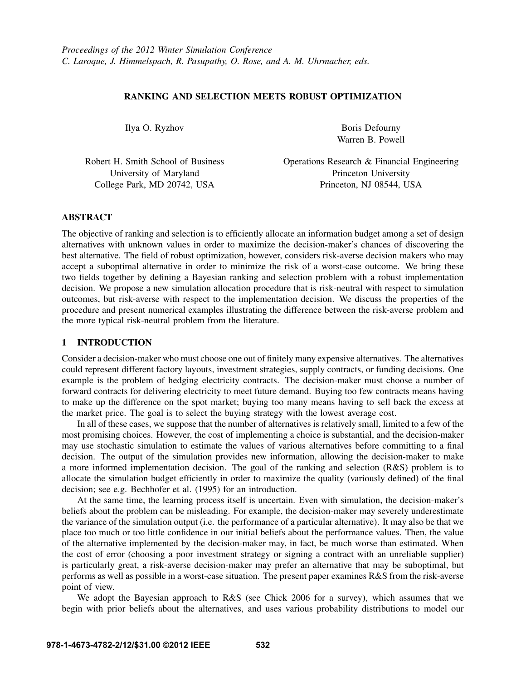## RANKING AND SELECTION MEETS ROBUST OPTIMIZATION

Ilya O. Ryzhov

Boris Defourny Warren B. Powell

Robert H. Smith School of Business University of Maryland College Park, MD 20742, USA

Operations Research & Financial Engineering Princeton University Princeton, NJ 08544, USA

# ABSTRACT

The objective of ranking and selection is to efficiently allocate an information budget among a set of design alternatives with unknown values in order to maximize the decision-maker's chances of discovering the best alternative. The field of robust optimization, however, considers risk-averse decision makers who may accept a suboptimal alternative in order to minimize the risk of a worst-case outcome. We bring these two fields together by defining a Bayesian ranking and selection problem with a robust implementation decision. We propose a new simulation allocation procedure that is risk-neutral with respect to simulation outcomes, but risk-averse with respect to the implementation decision. We discuss the properties of the procedure and present numerical examples illustrating the difference between the risk-averse problem and the more typical risk-neutral problem from the literature.

## 1 INTRODUCTION

Consider a decision-maker who must choose one out of finitely many expensive alternatives. The alternatives could represent different factory layouts, investment strategies, supply contracts, or funding decisions. One example is the problem of hedging electricity contracts. The decision-maker must choose a number of forward contracts for delivering electricity to meet future demand. Buying too few contracts means having to make up the difference on the spot market; buying too many means having to sell back the excess at the market price. The goal is to select the buying strategy with the lowest average cost.

In all of these cases, we suppose that the number of alternatives is relatively small, limited to a few of the most promising choices. However, the cost of implementing a choice is substantial, and the decision-maker may use stochastic simulation to estimate the values of various alternatives before committing to a final decision. The output of the simulation provides new information, allowing the decision-maker to make a more informed implementation decision. The goal of the ranking and selection (R&S) problem is to allocate the simulation budget efficiently in order to maximize the quality (variously defined) of the final decision; see e.g. Bechhofer et al. (1995) for an introduction.

At the same time, the learning process itself is uncertain. Even with simulation, the decision-maker's beliefs about the problem can be misleading. For example, the decision-maker may severely underestimate the variance of the simulation output (i.e. the performance of a particular alternative). It may also be that we place too much or too little confidence in our initial beliefs about the performance values. Then, the value of the alternative implemented by the decision-maker may, in fact, be much worse than estimated. When the cost of error (choosing a poor investment strategy or signing a contract with an unreliable supplier) is particularly great, a risk-averse decision-maker may prefer an alternative that may be suboptimal, but performs as well as possible in a worst-case situation. The present paper examines R&S from the risk-averse point of view.

We adopt the Bayesian approach to R&S (see Chick 2006 for a survey), which assumes that we begin with prior beliefs about the alternatives, and uses various probability distributions to model our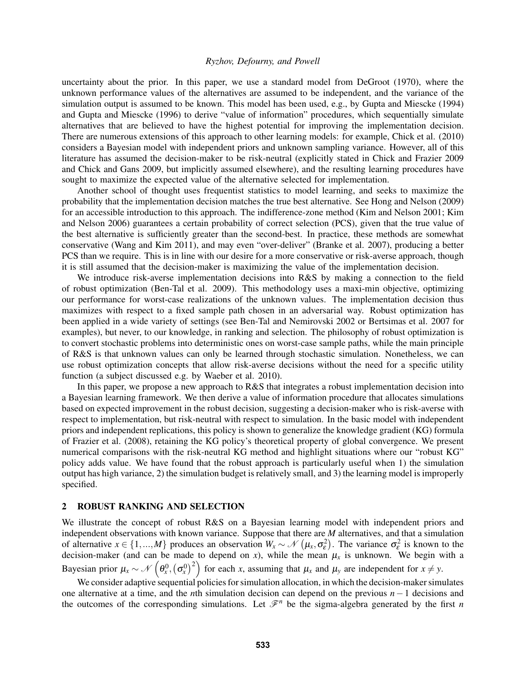uncertainty about the prior. In this paper, we use a standard model from DeGroot (1970), where the unknown performance values of the alternatives are assumed to be independent, and the variance of the simulation output is assumed to be known. This model has been used, e.g., by Gupta and Miescke (1994) and Gupta and Miescke (1996) to derive "value of information" procedures, which sequentially simulate alternatives that are believed to have the highest potential for improving the implementation decision. There are numerous extensions of this approach to other learning models: for example, Chick et al. (2010) considers a Bayesian model with independent priors and unknown sampling variance. However, all of this literature has assumed the decision-maker to be risk-neutral (explicitly stated in Chick and Frazier 2009 and Chick and Gans 2009, but implicitly assumed elsewhere), and the resulting learning procedures have sought to maximize the expected value of the alternative selected for implementation.

Another school of thought uses frequentist statistics to model learning, and seeks to maximize the probability that the implementation decision matches the true best alternative. See Hong and Nelson (2009) for an accessible introduction to this approach. The indifference-zone method (Kim and Nelson 2001; Kim and Nelson 2006) guarantees a certain probability of correct selection (PCS), given that the true value of the best alternative is sufficiently greater than the second-best. In practice, these methods are somewhat conservative (Wang and Kim 2011), and may even "over-deliver" (Branke et al. 2007), producing a better PCS than we require. This is in line with our desire for a more conservative or risk-averse approach, though it is still assumed that the decision-maker is maximizing the value of the implementation decision.

We introduce risk-averse implementation decisions into R&S by making a connection to the field of robust optimization (Ben-Tal et al. 2009). This methodology uses a maxi-min objective, optimizing our performance for worst-case realizations of the unknown values. The implementation decision thus maximizes with respect to a fixed sample path chosen in an adversarial way. Robust optimization has been applied in a wide variety of settings (see Ben-Tal and Nemirovski 2002 or Bertsimas et al. 2007 for examples), but never, to our knowledge, in ranking and selection. The philosophy of robust optimization is to convert stochastic problems into deterministic ones on worst-case sample paths, while the main principle of R&S is that unknown values can only be learned through stochastic simulation. Nonetheless, we can use robust optimization concepts that allow risk-averse decisions without the need for a specific utility function (a subject discussed e.g. by Waeber et al. 2010).

In this paper, we propose a new approach to R&S that integrates a robust implementation decision into a Bayesian learning framework. We then derive a value of information procedure that allocates simulations based on expected improvement in the robust decision, suggesting a decision-maker who is risk-averse with respect to implementation, but risk-neutral with respect to simulation. In the basic model with independent priors and independent replications, this policy is shown to generalize the knowledge gradient (KG) formula of Frazier et al. (2008), retaining the KG policy's theoretical property of global convergence. We present numerical comparisons with the risk-neutral KG method and highlight situations where our "robust KG" policy adds value. We have found that the robust approach is particularly useful when 1) the simulation output has high variance, 2) the simulation budget is relatively small, and 3) the learning model is improperly specified.

## 2 ROBUST RANKING AND SELECTION

We illustrate the concept of robust R&S on a Bayesian learning model with independent priors and independent observations with known variance. Suppose that there are *M* alternatives, and that a simulation of alternative  $x \in \{1, ..., M\}$  produces an observation  $W_x \sim \mathcal{N}(\mu_x, \sigma_{\varepsilon}^2)$ . The variance  $\sigma_{\varepsilon}^2$  is known to the decision-maker (and can be made to depend on *x*), while the mean  $\mu_x$  is unknown. We begin with a Bayesian prior  $\mu_x \sim \mathcal{N}\left(\theta_x^0, \left(\sigma_x^0\right)^2\right)$  for each *x*, assuming that  $\mu_x$  and  $\mu_y$  are independent for  $x \neq y$ .

We consider adaptive sequential policies for simulation allocation, in which the decision-maker simulates one alternative at a time, and the *n*th simulation decision can depend on the previous *n*−1 decisions and the outcomes of the corresponding simulations. Let  $\mathcal{F}^n$  be the sigma-algebra generated by the first *n*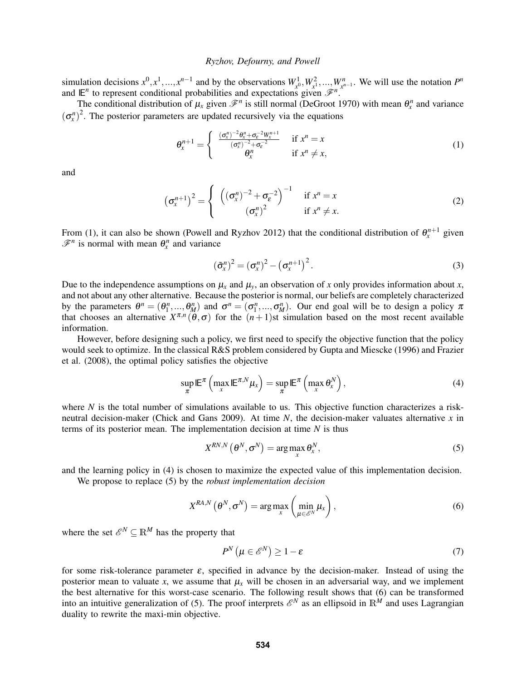simulation decisions  $x^0, x^1, \ldots, x^{n-1}$  and by the observations  $W^1_{x^0}, W^2_{x^1}, \ldots, W^n_{x^{n-1}}$ . We will use the notation  $P^n$ and  $\mathbb{E}^n$  to represent conditional probabilities and expectations given  $\mathscr{F}^n$ .

The conditional distribution of  $\mu_x$  given  $\mathcal{F}^n$  is still normal (DeGroot 1970) with mean  $\theta_x^n$  and variance  $(\sigma_x^n)^2$ . The posterior parameters are updated recursively via the equations

$$
\theta_x^{n+1} = \begin{cases}\n\frac{(\sigma_x^n)^{-2} \theta_x^n + \sigma_{\varepsilon}^{-2} W_x^{n+1}}{(\sigma_x^n)^{-2} + \sigma_{\varepsilon}^{-2}} & \text{if } x^n = x \\
\theta_x^n & \text{if } x^n \neq x,\n\end{cases}
$$
\n(1)

and

$$
\left(\sigma_x^{n+1}\right)^2 = \begin{cases} \left(\left(\sigma_x^{n}\right)^{-2} + \sigma_{\varepsilon}^{-2}\right)^{-1} & \text{if } x^n = x\\ \left(\sigma_x^{n}\right)^2 & \text{if } x^n \neq x. \end{cases}
$$
 (2)

From (1), it can also be shown (Powell and Ryzhov 2012) that the conditional distribution of  $\theta_x^{n+1}$  given  $\mathscr{F}^n$  is normal with mean  $\theta_x^n$  and variance

$$
\left(\tilde{\sigma}_x^n\right)^2 = \left(\sigma_x^n\right)^2 - \left(\sigma_x^{n+1}\right)^2. \tag{3}
$$

Due to the independence assumptions on  $\mu_x$  and  $\mu_y$ , an observation of *x* only provides information about *x*, and not about any other alternative. Because the posterior is normal, our beliefs are completely characterized by the parameters  $\theta^n = (\theta_1^n, ..., \theta_M^n)$  and  $\sigma^n = (\sigma_1^n, ..., \sigma_M^n)$ . Our end goal will be to design a policy  $\pi$ that chooses an alternative  $X^{\pi,n}(\theta,\sigma)$  for the  $(n+1)$ st simulation based on the most recent available information.

However, before designing such a policy, we first need to specify the objective function that the policy would seek to optimize. In the classical R&S problem considered by Gupta and Miescke (1996) and Frazier et al. (2008), the optimal policy satisfies the objective

$$
\sup_{\pi} \mathbb{E}^{\pi} \left( \max_{x} \mathbb{E}^{\pi, N} \mu_x \right) = \sup_{\pi} \mathbb{E}^{\pi} \left( \max_{x} \theta_x^N \right), \tag{4}
$$

where *N* is the total number of simulations available to us. This objective function characterizes a riskneutral decision-maker (Chick and Gans 2009). At time *N*, the decision-maker valuates alternative *x* in terms of its posterior mean. The implementation decision at time *N* is thus

$$
X^{RN,N}\left(\theta^N,\sigma^N\right) = \arg\max_{x} \theta_x^N,\tag{5}
$$

and the learning policy in (4) is chosen to maximize the expected value of this implementation decision. We propose to replace (5) by the *robust implementation decision*

$$
X^{RA,N}\left(\theta^N,\sigma^N\right)=\arg\max_{x}\left(\min_{\mu\in\mathscr{E}^N}\mu_x\right),\qquad(6)
$$

where the set  $\mathscr{E}^N \subseteq \mathbb{R}^M$  has the property that

$$
P^N\left(\mu \in \mathscr{E}^N\right) \ge 1 - \varepsilon \tag{7}
$$

for some risk-tolerance parameter  $\varepsilon$ , specified in advance by the decision-maker. Instead of using the posterior mean to valuate *x*, we assume that  $\mu_x$  will be chosen in an adversarial way, and we implement the best alternative for this worst-case scenario. The following result shows that (6) can be transformed into an intuitive generalization of (5). The proof interprets  $\mathscr{E}^N$  as an ellipsoid in  $\mathbb{R}^M$  and uses Lagrangian duality to rewrite the maxi-min objective.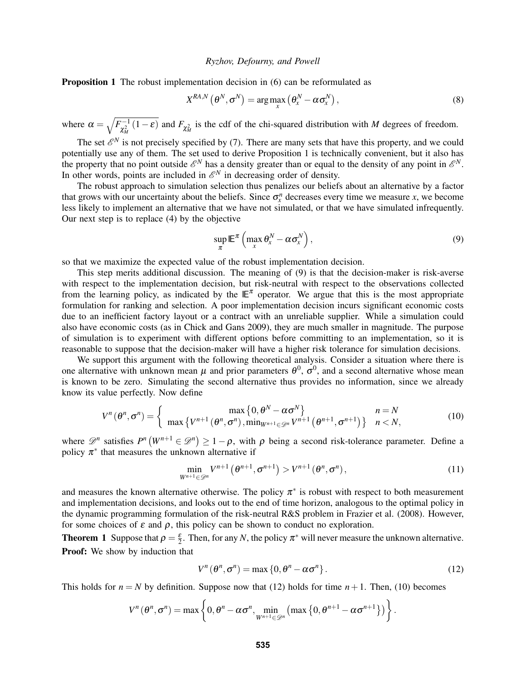**Proposition 1** The robust implementation decision in (6) can be reformulated as

$$
X^{RA,N}(\boldsymbol{\theta}^N,\boldsymbol{\sigma}^N)=\arg\max_{x}\left(\boldsymbol{\theta}_x^N-\alpha\boldsymbol{\sigma}_x^N\right),\qquad(8)
$$

where  $\alpha = \sqrt{F_{\gamma^2}^{-1}}$  $\chi^2_{\tilde{M}}(1-\varepsilon)$  and  $F_{\chi^2_{\tilde{M}}}$  is the cdf of the chi-squared distribution with *M* degrees of freedom.

The set  $\mathscr{E}^N$  is not precisely specified by (7). There are many sets that have this property, and we could potentially use any of them. The set used to derive Proposition 1 is technically convenient, but it also has the property that no point outside  $\mathscr{E}^N$  has a density greater than or equal to the density of any point in  $\mathscr{E}^N$ . In other words, points are included in  $\mathcal{E}^N$  in decreasing order of density.

The robust approach to simulation selection thus penalizes our beliefs about an alternative by a factor that grows with our uncertainty about the beliefs. Since  $\sigma_x^n$  decreases every time we measure *x*, we become less likely to implement an alternative that we have not simulated, or that we have simulated infrequently. Our next step is to replace (4) by the objective

$$
\sup_{\pi} \mathbb{E}^{\pi} \left( \max_{x} \theta_{x}^{N} - \alpha \sigma_{x}^{N} \right), \tag{9}
$$

so that we maximize the expected value of the robust implementation decision.

This step merits additional discussion. The meaning of (9) is that the decision-maker is risk-averse with respect to the implementation decision, but risk-neutral with respect to the observations collected from the learning policy, as indicated by the  $\mathbb{E}^{\pi}$  operator. We argue that this is the most appropriate formulation for ranking and selection. A poor implementation decision incurs significant economic costs due to an inefficient factory layout or a contract with an unreliable supplier. While a simulation could also have economic costs (as in Chick and Gans 2009), they are much smaller in magnitude. The purpose of simulation is to experiment with different options before committing to an implementation, so it is reasonable to suppose that the decision-maker will have a higher risk tolerance for simulation decisions.

We support this argument with the following theoretical analysis. Consider a situation where there is one alternative with unknown mean  $\mu$  and prior parameters  $\theta^0$ ,  $\sigma^0$ , and a second alternative whose mean is known to be zero. Simulating the second alternative thus provides no information, since we already know its value perfectly. Now define

$$
V^{n}(\theta^{n}, \sigma^{n}) = \begin{cases} \max\left\{0, \theta^{N} - \alpha \sigma^{N}\right\} & n = N \\ \max\left\{V^{n+1}(\theta^{n}, \sigma^{n}), \min_{W^{n+1} \in \mathcal{D}^{n}} V^{n+1}(\theta^{n+1}, \sigma^{n+1})\right\} & n < N, \end{cases}
$$
(10)

where  $\mathscr{D}^n$  satisfies  $P^n (W^{n+1} \in \mathscr{D}^n) \geq 1 - \rho$ , with  $\rho$  being a second risk-tolerance parameter. Define a policy  $\pi^*$  that measures the unknown alternative if

$$
\min_{W^{n+1}\in\mathcal{D}^n} V^{n+1}\left(\boldsymbol{\theta}^{n+1},\boldsymbol{\sigma}^{n+1}\right) > V^{n+1}\left(\boldsymbol{\theta}^n,\boldsymbol{\sigma}^n\right),\tag{11}
$$

and measures the known alternative otherwise. The policy  $\pi^*$  is robust with respect to both measurement and implementation decisions, and looks out to the end of time horizon, analogous to the optimal policy in the dynamic programming formulation of the risk-neutral R&S problem in Frazier et al. (2008). However, for some choices of  $\varepsilon$  and  $\rho$ , this policy can be shown to conduct no exploration.

**Theorem 1** Suppose that  $\rho = \frac{\varepsilon}{2}$ . Then, for any *N*, the policy  $\pi^*$  will never measure the unknown alternative. Proof: We show by induction that

$$
V^{n}(\theta^{n}, \sigma^{n}) = \max\{0, \theta^{n} - \alpha \sigma^{n}\}.
$$
 (12)

This holds for  $n = N$  by definition. Suppose now that (12) holds for time  $n + 1$ . Then, (10) becomes

$$
V^n(\theta^n, \sigma^n) = \max \left\{0, \theta^n - \alpha \sigma^n, \min_{W^{n+1} \in \mathcal{D}^n} \left(\max \left\{0, \theta^{n+1} - \alpha \sigma^{n+1}\right\}\right)\right\}.
$$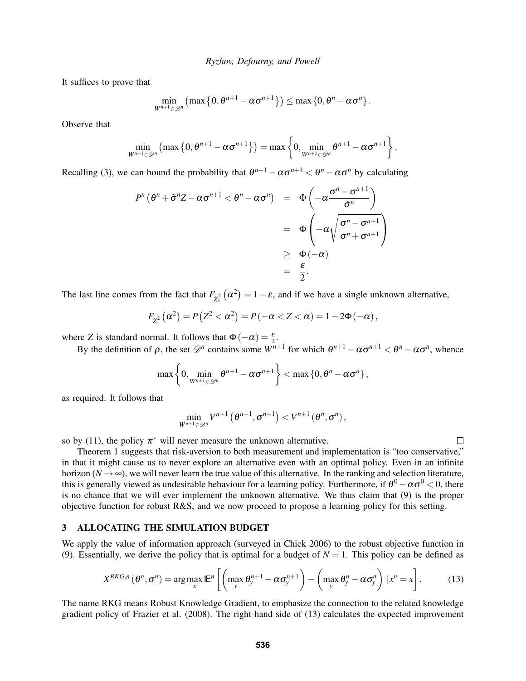It suffices to prove that

$$
\min_{W^{n+1}\in\mathscr{D}^n}\left(\max\left\{0,\theta^{n+1}-\alpha\sigma^{n+1}\right\}\right)\leq\max\left\{0,\theta^{n}-\alpha\sigma^{n}\right\}.
$$

Observe that

$$
\min_{W^{n+1}\in\mathscr{D}^n}\left(\max\left\{0,\theta^{n+1}-\alpha\sigma^{n+1}\right\}\right)=\max\left\{0,\min_{W^{n+1}\in\mathscr{D}^n}\theta^{n+1}-\alpha\sigma^{n+1}\right\}.
$$

Recalling (3), we can bound the probability that  $\theta^{n+1} - \alpha \sigma^{n+1} < \theta^n - \alpha \sigma^n$  by calculating

$$
P^{n}(\theta^{n} + \tilde{\sigma}^{n} Z - \alpha \sigma^{n+1} < \theta^{n} - \alpha \sigma^{n}) = \Phi\left(-\alpha \frac{\sigma^{n} - \sigma^{n+1}}{\tilde{\sigma}^{n}}\right)
$$
  
=  $\Phi\left(-\alpha \sqrt{\frac{\sigma^{n} - \sigma^{n+1}}{\sigma^{n} + \sigma^{n+1}}}\right)$   
 $\geq \Phi(-\alpha)$   
=  $\frac{\epsilon}{2}$ .

The last line comes from the fact that  $F_{\chi_1^2}(\alpha^2) = 1 - \varepsilon$ , and if we have a single unknown alternative,

$$
F_{\chi_1^2}(\alpha^2)=P(Z^2<\alpha^2)=P(-\alpha
$$

where *Z* is standard normal. It follows that  $\Phi(-\alpha) = \frac{\varepsilon}{2}$ .

By the definition of  $\rho$ , the set  $\mathcal{D}^n$  contains some  $W^{n+1}$  for which  $\theta^{n+1} - \alpha \sigma^{n+1} < \theta^n - \alpha \sigma^n$ , whence

$$
\max\left\{0,\min_{W^{n+1}\in\mathscr{D}^n}\theta^{n+1}-\alpha\sigma^{n+1}\right\}<\max\left\{0,\theta^n-\alpha\sigma^n\right\},\
$$

as required. It follows that

$$
\min_{W^{n+1}\in\mathscr{D}^n}V^{n+1}\left(\boldsymbol{\theta}^{n+1},\boldsymbol{\sigma}^{n+1}\right)
$$

 $\Box$ 

so by (11), the policy  $\pi^*$  will never measure the unknown alternative.

Theorem 1 suggests that risk-aversion to both measurement and implementation is "too conservative," in that it might cause us to never explore an alternative even with an optimal policy. Even in an infinite horizon ( $N \rightarrow \infty$ ), we will never learn the true value of this alternative. In the ranking and selection literature, this is generally viewed as undesirable behaviour for a learning policy. Furthermore, if  $\theta^0 - \alpha \sigma^0 < 0$ , there is no chance that we will ever implement the unknown alternative. We thus claim that (9) is the proper objective function for robust R&S, and we now proceed to propose a learning policy for this setting.

#### 3 ALLOCATING THE SIMULATION BUDGET

We apply the value of information approach (surveyed in Chick 2006) to the robust objective function in (9). Essentially, we derive the policy that is optimal for a budget of  $N = 1$ . This policy can be defined as

$$
X^{RKG,n}(\theta^n, \sigma^n) = \arg \max_{x} \mathbb{E}^n \left[ \left( \max_{y} \theta_y^{n+1} - \alpha \sigma_y^{n+1} \right) - \left( \max_{y} \theta_y^{n} - \alpha \sigma_y^{n} \right) | x^n = x \right].
$$
 (13)

The name RKG means Robust Knowledge Gradient, to emphasize the connection to the related knowledge gradient policy of Frazier et al. (2008). The right-hand side of (13) calculates the expected improvement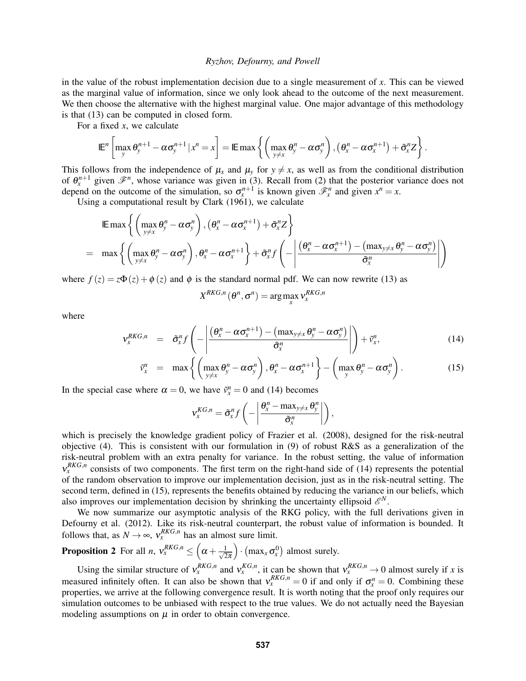in the value of the robust implementation decision due to a single measurement of *x*. This can be viewed as the marginal value of information, since we only look ahead to the outcome of the next measurement. We then choose the alternative with the highest marginal value. One major advantage of this methodology is that (13) can be computed in closed form.

For a fixed *x*, we calculate

$$
\mathbb{E}^{n}\left[\max_{y}\theta_{y}^{n+1}-\alpha \sigma_{y}^{n+1} | x^{n}=x\right]=\mathbb{E} \max \left\{\left(\max_{y\neq x}\theta_{y}^{n}-\alpha \sigma_{y}^{n}\right),\left(\theta_{x}^{n}-\alpha \sigma_{x}^{n+1}\right)+\tilde{\sigma}_{x}^{n}Z\right\}.
$$

This follows from the independence of  $\mu_x$  and  $\mu_y$  for  $y \neq x$ , as well as from the conditional distribution of  $\theta_x^{n+1}$  given  $\mathcal{F}^n$ , whose variance was given in (3). Recall from (2) that the posterior variance does not depend on the outcome of the simulation, so  $\sigma_x^{n+1}$  is known given  $\mathcal{F}_x^n$  and given  $x^n = x$ .

Using a computational result by Clark (1961), we calculate

$$
\mathbb{E} \max \left\{ \left( \max_{y \neq x} \theta_y^n - \alpha \sigma_y^n \right), \left( \theta_x^n - \alpha \sigma_x^{n+1} \right) + \tilde{\sigma}_x^n Z \right\} \n= \max \left\{ \left( \max_{y \neq x} \theta_y^n - \alpha \sigma_y^n \right), \theta_x^n - \alpha \sigma_x^{n+1} \right\} + \tilde{\sigma}_x^n f \left( - \left| \frac{\left( \theta_x^n - \alpha \sigma_x^{n+1} \right) - \left( \max_{y \neq x} \theta_y^n - \alpha \sigma_y^n \right)}{\tilde{\sigma}_x^n} \right| \right)
$$

where  $f(z) = z\Phi(z) + \phi(z)$  and  $\phi$  is the standard normal pdf. We can now rewrite (13) as

$$
X^{RKG,n}(\theta^n, \sigma^n) = \arg\max_{x} v_x^{RKG,n}
$$

where

$$
v_x^{RKG,n} = \tilde{\sigma}_x^n f\left(-\left|\frac{(\theta_x^n - \alpha \sigma_x^{n+1}) - (\max_{y \neq x} \theta_y^n - \alpha \sigma_y^n)}{\tilde{\sigma}_x^n}\right|\right) + \tilde{v}_x^n, \tag{14}
$$

$$
\tilde{v}_x^n = \max \left\{ \left( \max_{y \neq x} \theta_y^n - \alpha \sigma_y^n \right), \theta_x^n - \alpha \sigma_x^{n+1} \right\} - \left( \max_y \theta_y^n - \alpha \sigma_y^n \right). \tag{15}
$$

In the special case where  $\alpha = 0$ , we have  $\tilde{v}_x^n = 0$  and (14) becomes

$$
v_x^{KG,n} = \tilde{\sigma}_x^n f\left(-\left|\frac{\theta_x^n - \max_{y \neq x} \theta_y^n}{\tilde{\sigma}_x^n}\right|\right),\,
$$

which is precisely the knowledge gradient policy of Frazier et al. (2008), designed for the risk-neutral objective (4). This is consistent with our formulation in (9) of robust R&S as a generalization of the risk-neutral problem with an extra penalty for variance. In the robust setting, the value of information  $v_x^{RKG,n}$  consists of two components. The first term on the right-hand side of (14) represents the potential of the random observation to improve our implementation decision, just as in the risk-neutral setting. The second term, defined in (15), represents the benefits obtained by reducing the variance in our beliefs, which also improves our implementation decision by shrinking the uncertainty ellipsoid  $\mathscr{E}^N$ .

We now summarize our asymptotic analysis of the RKG policy, with the full derivations given in Defourny et al. (2012). Like its risk-neutral counterpart, the robust value of information is bounded. It follows that, as  $N \to \infty$ ,  $v_x^{RKG,n}$  has an almost sure limit.

**Proposition 2** For all *n*,  $v_x^{RKG,n} \leq (\alpha + \frac{1}{\sqrt{2}})$ 2π  $\Big) \cdot \Big( \max_x \sigma_x^0 \Big)$  almost surely.

Using the similar structure of  $v_x^{RKG,n}$  and  $v_x^{KG,n}$ , it can be shown that  $v_x^{RKG,n} \to 0$  almost surely if *x* is measured infinitely often. It can also be shown that  $v_x^{RKG,n} = 0$  if and only if  $\sigma_x^n = 0$ . Combining these properties, we arrive at the following convergence result. It is worth noting that the proof only requires our simulation outcomes to be unbiased with respect to the true values. We do not actually need the Bayesian modeling assumptions on  $\mu$  in order to obtain convergence.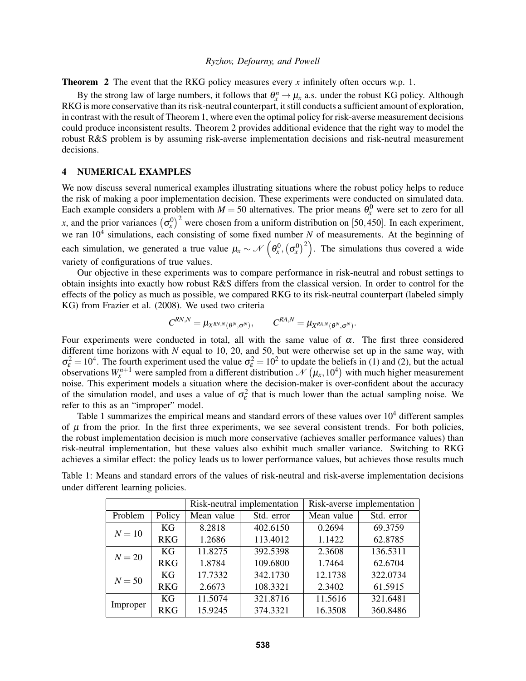Theorem 2 The event that the RKG policy measures every *x* infinitely often occurs w.p. 1.

By the strong law of large numbers, it follows that  $\theta_x^n \to \mu_x$  a.s. under the robust KG policy. Although RKG is more conservative than its risk-neutral counterpart, it still conducts a sufficient amount of exploration, in contrast with the result of Theorem 1, where even the optimal policy for risk-averse measurement decisions could produce inconsistent results. Theorem 2 provides additional evidence that the right way to model the robust R&S problem is by assuming risk-averse implementation decisions and risk-neutral measurement decisions.

## 4 NUMERICAL EXAMPLES

We now discuss several numerical examples illustrating situations where the robust policy helps to reduce the risk of making a poor implementation decision. These experiments were conducted on simulated data. Each example considers a problem with  $M = 50$  alternatives. The prior means  $\theta_x^0$  were set to zero for all *x*, and the prior variances  $(\sigma_x^0)^2$  were chosen from a uniform distribution on [50,450]. In each experiment, we ran  $10<sup>4</sup>$  simulations, each consisting of some fixed number *N* of measurements. At the beginning of each simulation, we generated a true value  $\mu_x \sim \mathcal{N}\left(\theta_x^0, \left(\sigma_x^0\right)^2\right)$ . The simulations thus covered a wide variety of configurations of true values.

Our objective in these experiments was to compare performance in risk-neutral and robust settings to obtain insights into exactly how robust R&S differs from the classical version. In order to control for the effects of the policy as much as possible, we compared RKG to its risk-neutral counterpart (labeled simply KG) from Frazier et al. (2008). We used two criteria

$$
C^{RN,N} = \mu_{X^{RN,N}(\theta^N, \sigma^N)}, \qquad C^{RA,N} = \mu_{X^{RA,N}(\theta^N, \sigma^N)}
$$

.

Four experiments were conducted in total, all with the same value of  $\alpha$ . The first three considered different time horizons with *N* equal to 10, 20, and 50, but were otherwise set up in the same way, with  $\sigma_{\epsilon}^2 = 10^4$ . The fourth experiment used the value  $\sigma_{\epsilon}^2 = 10^2$  to update the beliefs in (1) and (2), but the actual observations  $W_x^{n+1}$  were sampled from a different distribution  $\mathcal{N}(\mu_x, 10^4)$  with much higher measurement noise. This experiment models a situation where the decision-maker is over-confident about the accuracy of the simulation model, and uses a value of  $\sigma_{\varepsilon}^2$  that is much lower than the actual sampling noise. We refer to this as an "improper" model.

Table 1 summarizes the empirical means and standard errors of these values over  $10<sup>4</sup>$  different samples of  $\mu$  from the prior. In the first three experiments, we see several consistent trends. For both policies, the robust implementation decision is much more conservative (achieves smaller performance values) than risk-neutral implementation, but these values also exhibit much smaller variance. Switching to RKG achieves a similar effect: the policy leads us to lower performance values, but achieves those results much

Table 1: Means and standard errors of the values of risk-neutral and risk-averse implementation decisions under different learning policies.

|          |            | Risk-neutral implementation |            | Risk-averse implementation |            |
|----------|------------|-----------------------------|------------|----------------------------|------------|
| Problem  | Policy     | Mean value                  | Std. error | Mean value                 | Std. error |
| $N=10$   | KG         | 8.2818                      | 402.6150   | 0.2694                     | 69.3759    |
|          | <b>RKG</b> | 1.2686                      | 113.4012   | 1.1422                     | 62.8785    |
| $N=20$   | KG         | 11.8275                     | 392.5398   | 2.3608                     | 136.5311   |
|          | <b>RKG</b> | 1.8784                      | 109.6800   | 1.7464                     | 62.6704    |
| $N = 50$ | KG         | 17.7332                     | 342.1730   | 12.1738                    | 322.0734   |
|          | <b>RKG</b> | 2.6673                      | 108.3321   | 2.3402                     | 61.5915    |
| Improper | KG         | 11.5074                     | 321.8716   | 11.5616                    | 321.6481   |
|          | <b>RKG</b> | 15.9245                     | 374.3321   | 16.3508                    | 360.8486   |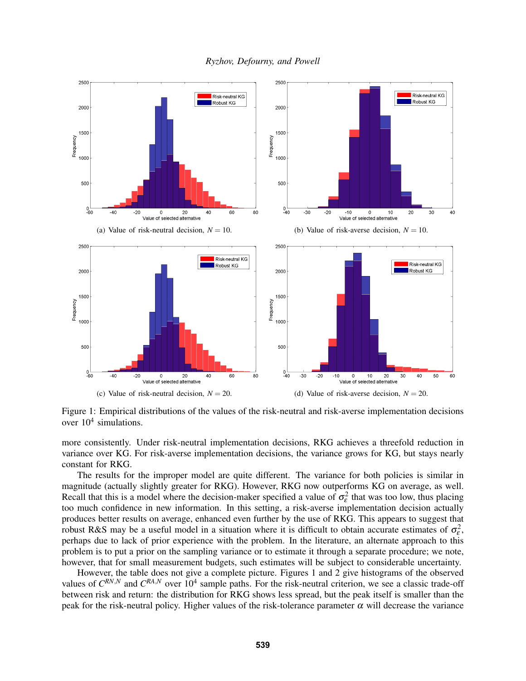

*Ryzhov, Defourny, and Powell*

Figure 1: Empirical distributions of the values of the risk-neutral and risk-averse implementation decisions over  $10^4$  simulations.

more consistently. Under risk-neutral implementation decisions, RKG achieves a threefold reduction in variance over KG. For risk-averse implementation decisions, the variance grows for KG, but stays nearly constant for RKG.

The results for the improper model are quite different. The variance for both policies is similar in magnitude (actually slightly greater for RKG). However, RKG now outperforms KG on average, as well. Recall that this is a model where the decision-maker specified a value of  $\sigma_{\varepsilon}^2$  that was too low, thus placing too much confidence in new information. In this setting, a risk-averse implementation decision actually produces better results on average, enhanced even further by the use of RKG. This appears to suggest that robust R&S may be a useful model in a situation where it is difficult to obtain accurate estimates of  $\sigma_{\epsilon}^2$ , perhaps due to lack of prior experience with the problem. In the literature, an alternate approach to this problem is to put a prior on the sampling variance or to estimate it through a separate procedure; we note, however, that for small measurement budgets, such estimates will be subject to considerable uncertainty.

However, the table does not give a complete picture. Figures 1 and 2 give histograms of the observed values of  $C^{RN,N}$  and  $C^{RA,N}$  over  $10^4$  sample paths. For the risk-neutral criterion, we see a classic trade-off between risk and return: the distribution for RKG shows less spread, but the peak itself is smaller than the peak for the risk-neutral policy. Higher values of the risk-tolerance parameter  $\alpha$  will decrease the variance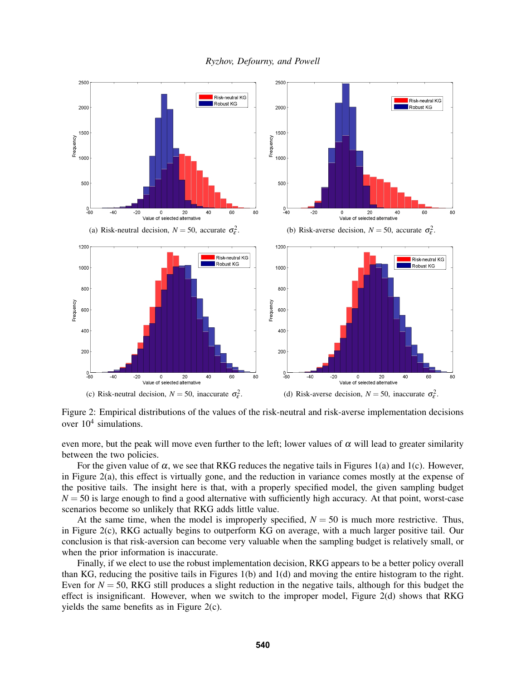

Figure 2: Empirical distributions of the values of the risk-neutral and risk-averse implementation decisions over  $10^4$  simulations.

even more, but the peak will move even further to the left; lower values of  $\alpha$  will lead to greater similarity between the two policies.

For the given value of  $\alpha$ , we see that RKG reduces the negative tails in Figures 1(a) and 1(c). However, in Figure 2(a), this effect is virtually gone, and the reduction in variance comes mostly at the expense of the positive tails. The insight here is that, with a properly specified model, the given sampling budget  $N = 50$  is large enough to find a good alternative with sufficiently high accuracy. At that point, worst-case scenarios become so unlikely that RKG adds little value.

At the same time, when the model is improperly specified,  $N = 50$  is much more restrictive. Thus, in Figure 2(c), RKG actually begins to outperform KG on average, with a much larger positive tail. Our conclusion is that risk-aversion can become very valuable when the sampling budget is relatively small, or when the prior information is inaccurate.

Finally, if we elect to use the robust implementation decision, RKG appears to be a better policy overall than KG, reducing the positive tails in Figures 1(b) and 1(d) and moving the entire histogram to the right. Even for  $N = 50$ , RKG still produces a slight reduction in the negative tails, although for this budget the effect is insignificant. However, when we switch to the improper model, Figure 2(d) shows that RKG yields the same benefits as in Figure 2(c).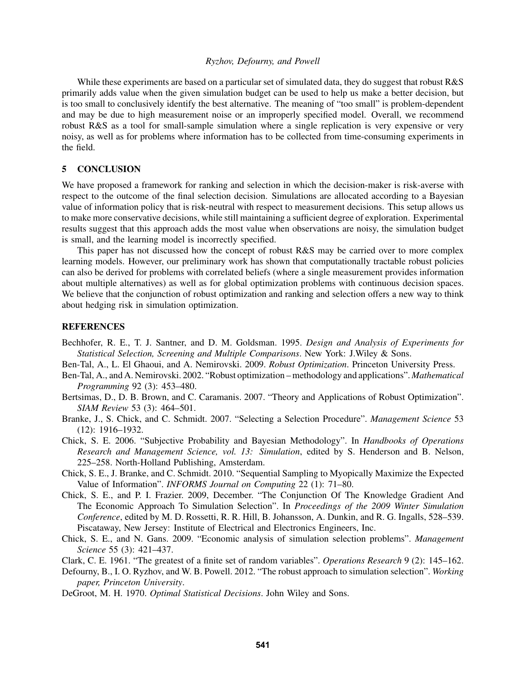While these experiments are based on a particular set of simulated data, they do suggest that robust  $R&S$ primarily adds value when the given simulation budget can be used to help us make a better decision, but is too small to conclusively identify the best alternative. The meaning of "too small" is problem-dependent and may be due to high measurement noise or an improperly specified model. Overall, we recommend robust R&S as a tool for small-sample simulation where a single replication is very expensive or very noisy, as well as for problems where information has to be collected from time-consuming experiments in the field.

## 5 CONCLUSION

We have proposed a framework for ranking and selection in which the decision-maker is risk-averse with respect to the outcome of the final selection decision. Simulations are allocated according to a Bayesian value of information policy that is risk-neutral with respect to measurement decisions. This setup allows us to make more conservative decisions, while still maintaining a sufficient degree of exploration. Experimental results suggest that this approach adds the most value when observations are noisy, the simulation budget is small, and the learning model is incorrectly specified.

This paper has not discussed how the concept of robust R&S may be carried over to more complex learning models. However, our preliminary work has shown that computationally tractable robust policies can also be derived for problems with correlated beliefs (where a single measurement provides information about multiple alternatives) as well as for global optimization problems with continuous decision spaces. We believe that the conjunction of robust optimization and ranking and selection offers a new way to think about hedging risk in simulation optimization.

#### REFERENCES

- Bechhofer, R. E., T. J. Santner, and D. M. Goldsman. 1995. *Design and Analysis of Experiments for Statistical Selection, Screening and Multiple Comparisons*. New York: J.Wiley & Sons.
- Ben-Tal, A., L. El Ghaoui, and A. Nemirovski. 2009. *Robust Optimization*. Princeton University Press.
- Ben-Tal, A., and A. Nemirovski. 2002. "Robust optimization methodology and applications". *Mathematical Programming* 92 (3): 453–480.
- Bertsimas, D., D. B. Brown, and C. Caramanis. 2007. "Theory and Applications of Robust Optimization". *SIAM Review* 53 (3): 464–501.
- Branke, J., S. Chick, and C. Schmidt. 2007. "Selecting a Selection Procedure". *Management Science* 53 (12): 1916–1932.
- Chick, S. E. 2006. "Subjective Probability and Bayesian Methodology". In *Handbooks of Operations Research and Management Science, vol. 13: Simulation*, edited by S. Henderson and B. Nelson, 225–258. North-Holland Publishing, Amsterdam.
- Chick, S. E., J. Branke, and C. Schmidt. 2010. "Sequential Sampling to Myopically Maximize the Expected Value of Information". *INFORMS Journal on Computing* 22 (1): 71–80.
- Chick, S. E., and P. I. Frazier. 2009, December. "The Conjunction Of The Knowledge Gradient And The Economic Approach To Simulation Selection". In *Proceedings of the 2009 Winter Simulation Conference*, edited by M. D. Rossetti, R. R. Hill, B. Johansson, A. Dunkin, and R. G. Ingalls, 528–539. Piscataway, New Jersey: Institute of Electrical and Electronics Engineers, Inc.
- Chick, S. E., and N. Gans. 2009. "Economic analysis of simulation selection problems". *Management Science* 55 (3): 421–437.
- Clark, C. E. 1961. "The greatest of a finite set of random variables". *Operations Research* 9 (2): 145–162.
- Defourny, B., I. O. Ryzhov, and W. B. Powell. 2012. "The robust approach to simulation selection". *Working paper, Princeton University*.
- DeGroot, M. H. 1970. *Optimal Statistical Decisions*. John Wiley and Sons.